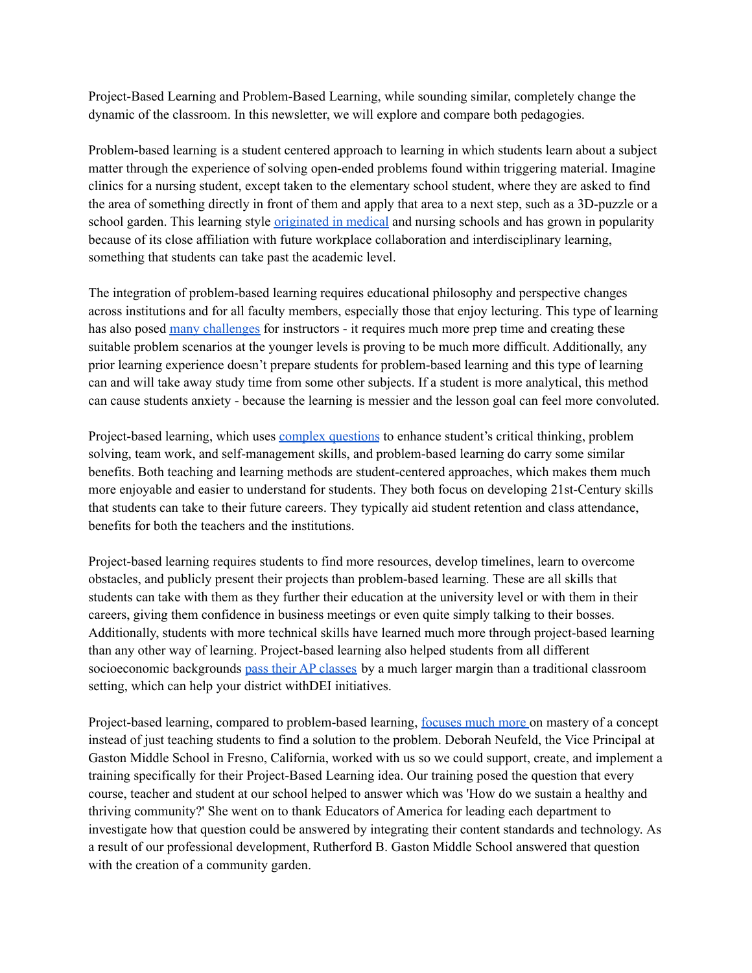Project-Based Learning and Problem-Based Learning, while sounding similar, completely change the dynamic of the classroom. In this newsletter, we will explore and compare both pedagogies.

Problem-based learning is a student centered approach to learning in which students learn about a subject matter through the experience of solving open-ended problems found within triggering material. Imagine clinics for a nursing student, except taken to the elementary school student, where they are asked to find the area of something directly in front of them and apply that area to a next step, such as a 3D-puzzle or a school garden. This learning style <u>[originated](https://www.sciencedirect.com/science/article/pii/S2452301116300062) in medical</u> and nursing schools and has grown in popularity because of its close affiliation with future workplace collaboration and interdisciplinary learning, something that students can take past the academic level.

The integration of problem-based learning requires educational philosophy and perspective changes across institutions and for all faculty members, especially those that enjoy lecturing. This type of learning has also posed many [challenges](https://www.facultyfocus.com/articles/effective-teaching-strategies/problem-based-learning-benefits-and-risks/) for instructors - it requires much more prep time and creating these suitable problem scenarios at the younger levels is proving to be much more difficult. Additionally, any prior learning experience doesn't prepare students for problem-based learning and this type of learning can and will take away study time from some other subjects. If a student is more analytical, this method can cause students anxiety - because the learning is messier and the lesson goal can feel more convoluted.

Project-based learning, which uses complex [questions](https://blog.definedlearning.com/blog/project-based-learning-research#:~:text=The%20research%20consistently%20showed%20that%20students%20taught%20through%20PBL%20displayed%3A&text=increased%20student%20motivation%20and%20engagement,thinking%2C%20collaboration%2C%20and%20communication) to enhance student's critical thinking, problem solving, team work, and self-management skills, and problem-based learning do carry some similar benefits. Both teaching and learning methods are student-centered approaches, which makes them much more enjoyable and easier to understand for students. They both focus on developing 21st-Century skills that students can take to their future careers. They typically aid student retention and class attendance, benefits for both the teachers and the institutions.

Project-based learning requires students to find more resources, develop timelines, learn to overcome obstacles, and publicly present their projects than problem-based learning. These are all skills that students can take with them as they further their education at the university level or with them in their careers, giving them confidence in business meetings or even quite simply talking to their bosses. Additionally, students with more technical skills have learned much more through project-based learning than any other way of learning. Project-based learning also helped students from all different socioeconomic backgrounds pass their AP [classes](https://www.edutopia.org/article/new-research-makes-powerful-case-pbl) by a much larger margin than a traditional classroom setting, which can help your district withDEI initiatives.

Project-based learning, compared to problem-based learning, [focuses](https://www.uvu.edu/otl/resources/group_work/pbl.html#:~:text=One%20way%20to%20think%20about,a%20clearly%20defined%20authentic%20problem) much more on mastery of a concept instead of just teaching students to find a solution to the problem. Deborah Neufeld, the Vice Principal at Gaston Middle School in Fresno, California, worked with us so we could support, create, and implement a training specifically for their Project-Based Learning idea. Our training posed the question that every course, teacher and student at our school helped to answer which was 'How do we sustain a healthy and thriving community?' She went on to thank Educators of America for leading each department to investigate how that question could be answered by integrating their content standards and technology. As a result of our professional development, Rutherford B. Gaston Middle School answered that question with the creation of a community garden.